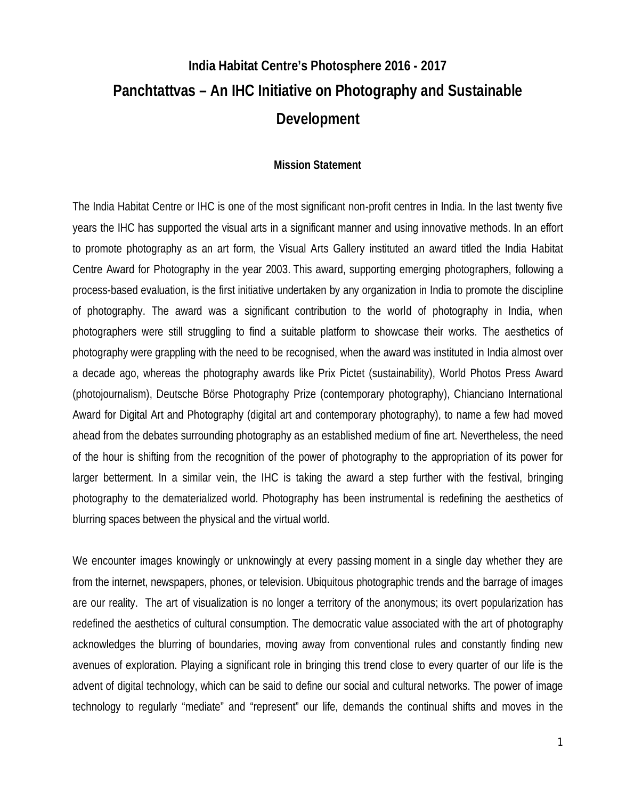# **India Habitat Centre's Photosphere 2016 - 2017 Panchtattvas – An IHC Initiative on Photography and Sustainable Development**

#### **Mission Statement**

The India Habitat Centre or IHC is one of the most significant non-profit centres in India. In the last twenty five years the IHC has supported the visual arts in a significant manner and using innovative methods. In an effort to promote photography as an art form, the Visual Arts Gallery instituted an award titled the India Habitat Centre Award for Photography in the year 2003. This award, supporting emerging photographers, following a process-based evaluation, is the first initiative undertaken by any organization in India to promote the discipline of photography. The award was a significant contribution to the world of photography in India, when photographers were still struggling to find a suitable platform to showcase their works. The aesthetics of photography were grappling with the need to be recognised, when the award was instituted in India almost over a decade ago, whereas the photography awards like Prix Pictet (sustainability), World Photos Press Award (photojournalism), Deutsche Börse Photography Prize (contemporary photography), Chianciano International Award for Digital Art and Photography (digital art and contemporary photography), to name a few had moved ahead from the debates surrounding photography as an established medium of fine art. Nevertheless, the need of the hour is shifting from the recognition of the power of photography to the appropriation of its power for larger betterment. In a similar vein, the IHC is taking the award a step further with the festival, bringing photography to the dematerialized world. Photography has been instrumental is redefining the aesthetics of blurring spaces between the physical and the virtual world.

We encounter images knowingly or unknowingly at every passing moment in a single day whether they are from the internet, newspapers, phones, or television. Ubiquitous photographic trends and the barrage of images are our reality. The art of visualization is no longer a territory of the anonymous; its overt popularization has redefined the aesthetics of cultural consumption. The democratic value associated with the art of photography acknowledges the blurring of boundaries, moving away from conventional rules and constantly finding new avenues of exploration. Playing a significant role in bringing this trend close to every quarter of our life is the advent of digital technology, which can be said to define our social and cultural networks. The power of image technology to regularly "mediate" and "represent" our life, demands the continual shifts and moves in the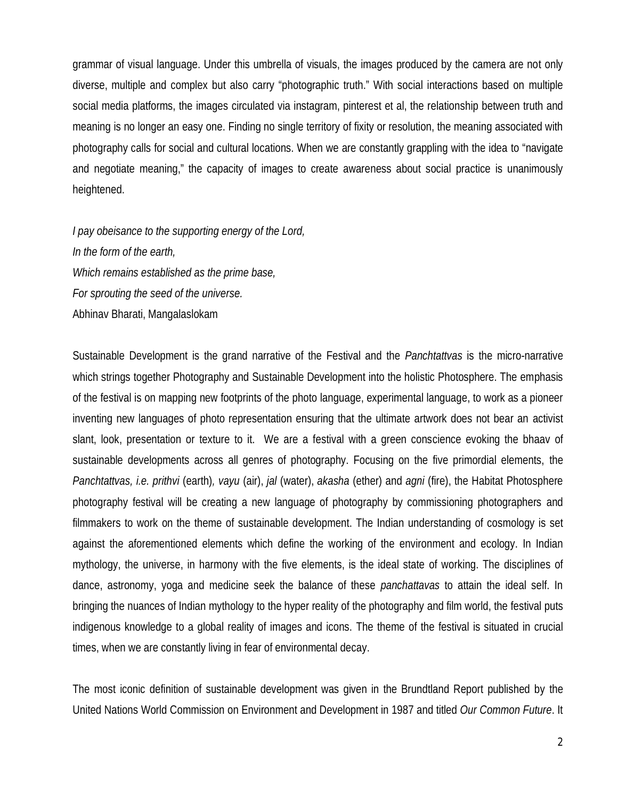grammar of visual language. Under this umbrella of visuals, the images produced by the camera are not only diverse, multiple and complex but also carry "photographic truth." With social interactions based on multiple social media platforms, the images circulated via instagram, pinterest et al, the relationship between truth and meaning is no longer an easy one. Finding no single territory of fixity or resolution, the meaning associated with photography calls for social and cultural locations. When we are constantly grappling with the idea to "navigate and negotiate meaning," the capacity of images to create awareness about social practice is unanimously heightened.

*I pay obeisance to the supporting energy of the Lord, In the form of the earth, Which remains established as the prime base, For sprouting the seed of the universe.* Abhinav Bharati, Mangalaslokam

Sustainable Development is the grand narrative of the Festival and the *Panchtattvas* is the micro-narrative which strings together Photography and Sustainable Development into the holistic Photosphere. The emphasis of the festival is on mapping new footprints of the photo language, experimental language, to work as a pioneer inventing new languages of photo representation ensuring that the ultimate artwork does not bear an activist slant, look, presentation or texture to it. We are a festival with a green conscience evoking the bhaav of sustainable developments across all genres of photography. Focusing on the five primordial elements, the *Panchtattvas, i.e. prithvi* (earth)*, vayu* (air), *jal* (water), *akasha* (ether) and *agni* (fire), the Habitat Photosphere photography festival will be creating a new language of photography by commissioning photographers and filmmakers to work on the theme of sustainable development. The Indian understanding of cosmology is set against the aforementioned elements which define the working of the environment and ecology. In Indian mythology, the universe, in harmony with the five elements, is the ideal state of working. The disciplines of dance, astronomy, yoga and medicine seek the balance of these *panchattavas* to attain the ideal self. In bringing the nuances of Indian mythology to the hyper reality of the photography and film world, the festival puts indigenous knowledge to a global reality of images and icons. The theme of the festival is situated in crucial times, when we are constantly living in fear of environmental decay.

The most iconic definition of sustainable development was given in the Brundtland Report published by the United Nations World Commission on Environment and Development in 1987 and titled *Our Common Future*. It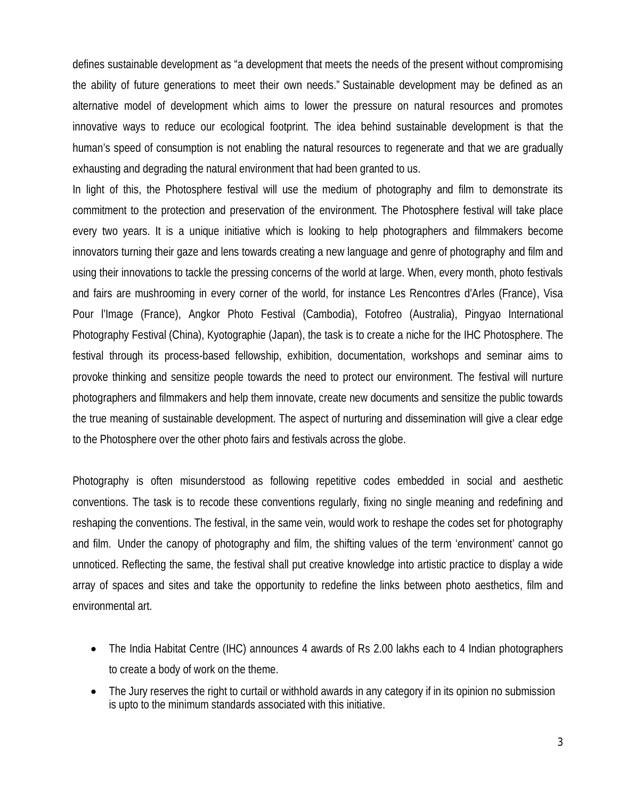defines sustainable development as "a development that meets the needs of the present without compromising the ability of future generations to meet their own needs." Sustainable development may be defined as an alternative model of development which aims to lower the pressure on natural resources and promotes innovative ways to reduce our ecological footprint. The idea behind sustainable development is that the human's speed of consumption is not enabling the natural resources to regenerate and that we are gradually exhausting and degrading the natural environment that had been granted to us.

In light of this, the Photosphere festival will use the medium of photography and film to demonstrate its commitment to the protection and preservation of the environment. The Photosphere festival will take place every two years. It is a unique initiative which is looking to help photographers and filmmakers become innovators turning their gaze and lens towards creating a new language and genre of photography and film and using their innovations to tackle the pressing concerns of the world at large. When, every month, photo festivals and fairs are mushrooming in every corner of the world, for instance Les Rencontres d'Arles (France), Visa Pour l'Image (France), Angkor Photo Festival (Cambodia), Fotofreo (Australia), Pingyao International Photography Festival (China), Kyotographie (Japan), the task is to create a niche for the IHC Photosphere. The festival through its process-based fellowship, exhibition, documentation, workshops and seminar aims to provoke thinking and sensitize people towards the need to protect our environment. The festival will nurture photographers and filmmakers and help them innovate, create new documents and sensitize the public towards the true meaning of sustainable development. The aspect of nurturing and dissemination will give a clear edge to the Photosphere over the other photo fairs and festivals across the globe.

Photography is often misunderstood as following repetitive codes embedded in social and aesthetic conventions. The task is to recode these conventions regularly, fixing no single meaning and redefining and reshaping the conventions. The festival, in the same vein, would work to reshape the codes set for photography and film. Under the canopy of photography and film, the shifting values of the term 'environment' cannot go unnoticed. Reflecting the same, the festival shall put creative knowledge into artistic practice to display a wide array of spaces and sites and take the opportunity to redefine the links between photo aesthetics, film and environmental art.

- The India Habitat Centre (IHC) announces 4 awards of Rs 2.00 lakhs each to 4 Indian photographers to create a body of work on the theme.
- The Jury reserves the right to curtail or withhold awards in any category if in its opinion no submission is upto to the minimum standards associated with this initiative.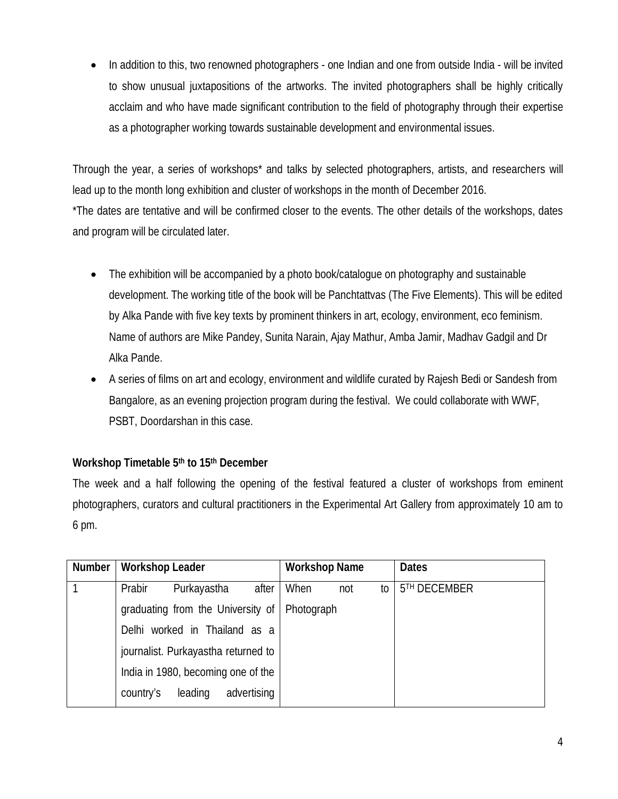In addition to this, two renowned photographers - one Indian and one from outside India - will be invited to show unusual juxtapositions of the artworks. The invited photographers shall be highly critically acclaim and who have made significant contribution to the field of photography through their expertise as a photographer working towards sustainable development and environmental issues.

Through the year, a series of workshops\* and talks by selected photographers, artists, and researchers will lead up to the month long exhibition and cluster of workshops in the month of December 2016. \*The dates are tentative and will be confirmed closer to the events. The other details of the workshops, dates and program will be circulated later.

- The exhibition will be accompanied by a photo book/catalogue on photography and sustainable development. The working title of the book will be Panchtattvas (The Five Elements). This will be edited by Alka Pande with five key texts by prominent thinkers in art, ecology, environment, eco feminism. Name of authors are Mike Pandey, Sunita Narain, Ajay Mathur, Amba Jamir, Madhav Gadgil and Dr Alka Pande.
- A series of films on art and ecology, environment and wildlife curated by Rajesh Bedi or Sandesh from Bangalore, as an evening projection program during the festival. We could collaborate with WWF, PSBT, Doordarshan in this case.

## **Workshop Timetable 5 th to 15th December**

The week and a half following the opening of the festival featured a cluster of workshops from eminent photographers, curators and cultural practitioners in the Experimental Art Gallery from approximately 10 am to 6 pm.

| <b>Number</b> | <b>Workshop Leader</b>              | <b>Workshop Name</b> | <b>Dates</b>             |
|---------------|-------------------------------------|----------------------|--------------------------|
|               | Prabir<br>after<br>Purkayastha      | When<br>not<br>to    | 5 <sup>TH</sup> DECEMBER |
|               | graduating from the University of   | Photograph           |                          |
|               | Delhi worked in Thailand as a       |                      |                          |
|               | journalist. Purkayastha returned to |                      |                          |
|               | India in 1980, becoming one of the  |                      |                          |
|               | leading<br>advertising<br>country's |                      |                          |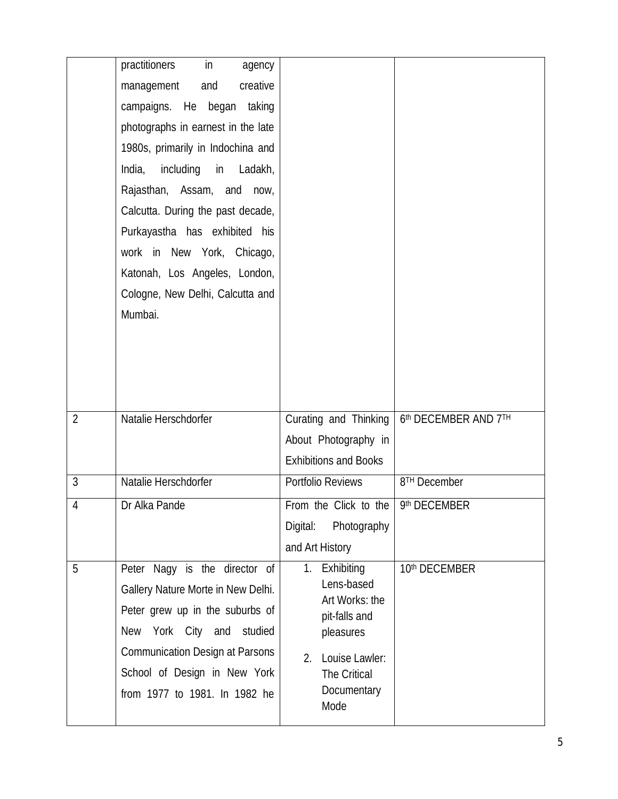|                | $\mathsf{in}$<br>practitioners<br>agency |                                      |                          |
|----------------|------------------------------------------|--------------------------------------|--------------------------|
|                | management<br>and<br>creative            |                                      |                          |
|                | campaigns. He began taking               |                                      |                          |
|                | photographs in earnest in the late       |                                      |                          |
|                | 1980s, primarily in Indochina and        |                                      |                          |
|                | India,<br>including in Ladakh,           |                                      |                          |
|                | Rajasthan, Assam, and<br>now,            |                                      |                          |
|                | Calcutta. During the past decade,        |                                      |                          |
|                | Purkayastha has exhibited his            |                                      |                          |
|                | work in New York, Chicago,               |                                      |                          |
|                | Katonah, Los Angeles, London,            |                                      |                          |
|                | Cologne, New Delhi, Calcutta and         |                                      |                          |
|                | Mumbai.                                  |                                      |                          |
|                |                                          |                                      |                          |
|                |                                          |                                      |                          |
|                |                                          |                                      |                          |
|                |                                          |                                      |                          |
| $\overline{2}$ | Natalie Herschdorfer                     | Curating and Thinking                | 6th DECEMBER AND 7TH     |
|                |                                          | About Photography in                 |                          |
|                |                                          | <b>Exhibitions and Books</b>         |                          |
| $\overline{3}$ | Natalie Herschdorfer                     | Portfolio Reviews                    | 8 <sup>TH</sup> December |
| $\overline{4}$ | Dr Alka Pande                            | From the Click to the   9th DECEMBER |                          |
|                |                                          | Photography<br>Digital:              |                          |
|                |                                          | and Art History                      |                          |
| 5              | Peter Nagy is the director of            | Exhibiting<br>1.                     | 10th DECEMBER            |
|                | Gallery Nature Morte in New Delhi.       | Lens-based<br>Art Works: the         |                          |
|                | Peter grew up in the suburbs of          | pit-falls and                        |                          |
|                | New York City and<br>studied             | pleasures                            |                          |
|                | <b>Communication Design at Parsons</b>   | Louise Lawler:<br>2.                 |                          |
|                | School of Design in New York             | The Critical                         |                          |
|                | from 1977 to 1981. In 1982 he            | Documentary<br>Mode                  |                          |
|                |                                          |                                      |                          |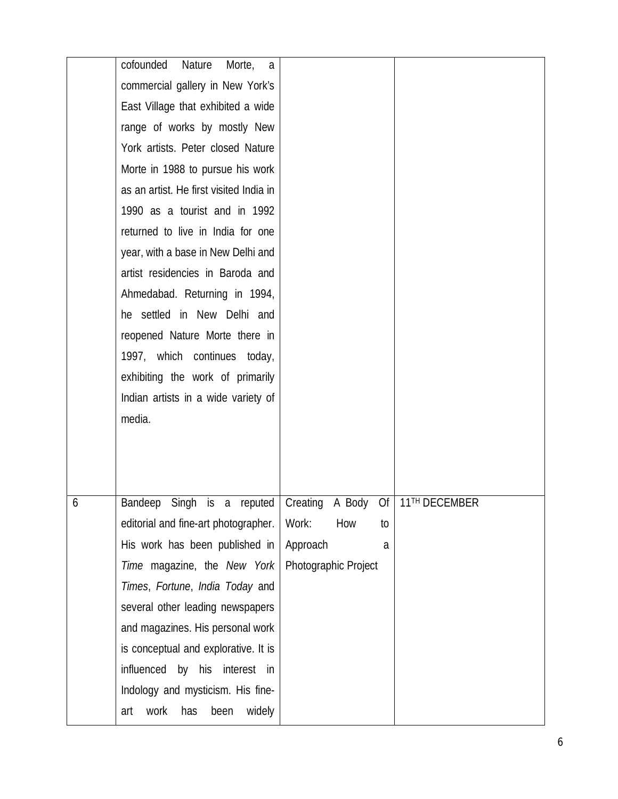| Nature<br>a                             |                     |     |    |                                                                                         |
|-----------------------------------------|---------------------|-----|----|-----------------------------------------------------------------------------------------|
| commercial gallery in New York's        |                     |     |    |                                                                                         |
| East Village that exhibited a wide      |                     |     |    |                                                                                         |
| range of works by mostly New            |                     |     |    |                                                                                         |
| York artists. Peter closed Nature       |                     |     |    |                                                                                         |
| Morte in 1988 to pursue his work        |                     |     |    |                                                                                         |
| as an artist. He first visited India in |                     |     |    |                                                                                         |
| 1990 as a tourist and in 1992           |                     |     |    |                                                                                         |
| returned to live in India for one       |                     |     |    |                                                                                         |
| year, with a base in New Delhi and      |                     |     |    |                                                                                         |
| artist residencies in Baroda and        |                     |     |    |                                                                                         |
| Ahmedabad. Returning in 1994,           |                     |     |    |                                                                                         |
| he settled in New Delhi and             |                     |     |    |                                                                                         |
| reopened Nature Morte there in          |                     |     |    |                                                                                         |
| 1997, which continues today,            |                     |     |    |                                                                                         |
| exhibiting the work of primarily        |                     |     |    |                                                                                         |
| Indian artists in a wide variety of     |                     |     |    |                                                                                         |
| media.                                  |                     |     |    |                                                                                         |
|                                         |                     |     |    |                                                                                         |
|                                         |                     |     |    |                                                                                         |
|                                         |                     |     |    |                                                                                         |
| Bandeep                                 |                     |     |    |                                                                                         |
| editorial and fine-art photographer.    | Work:               | How | to |                                                                                         |
| His work has been published in          | Approach            |     | a  |                                                                                         |
| Time magazine, the New York             |                     |     |    |                                                                                         |
| Times, Fortune, India Today and         |                     |     |    |                                                                                         |
|                                         |                     |     |    |                                                                                         |
| several other leading newspapers        |                     |     |    |                                                                                         |
| and magazines. His personal work        |                     |     |    |                                                                                         |
| is conceptual and explorative. It is    |                     |     |    |                                                                                         |
| influenced by his interest in           |                     |     |    |                                                                                         |
| Indology and mysticism. His fine-       |                     |     |    |                                                                                         |
|                                         | cofounded<br>Morte, |     |    | Singh is a reputed Creating A Body Of 11 <sup>TH</sup> DECEMBER<br>Photographic Project |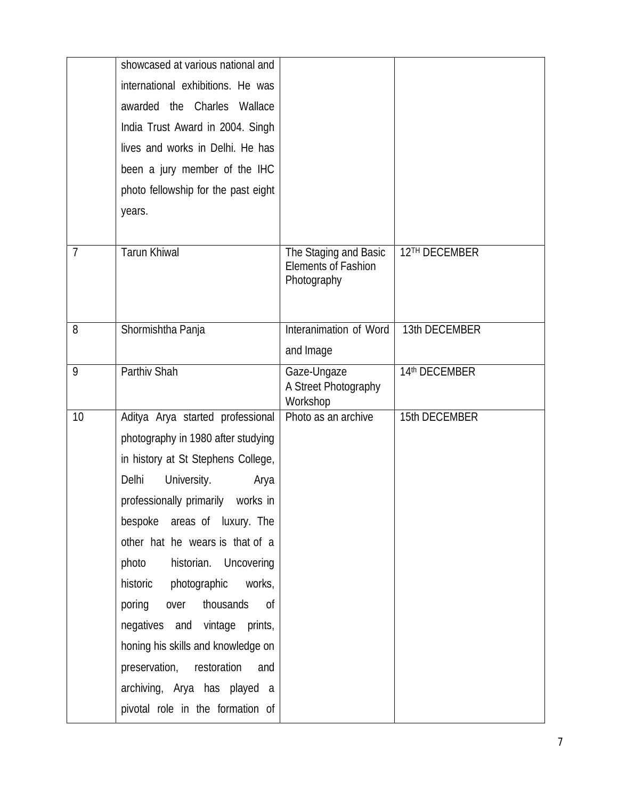|                | showcased at various national and    |                                                                    |               |
|----------------|--------------------------------------|--------------------------------------------------------------------|---------------|
|                | international exhibitions. He was    |                                                                    |               |
|                | awarded the Charles Wallace          |                                                                    |               |
|                | India Trust Award in 2004. Singh     |                                                                    |               |
|                | lives and works in Delhi. He has     |                                                                    |               |
|                | been a jury member of the IHC        |                                                                    |               |
|                | photo fellowship for the past eight  |                                                                    |               |
|                | years.                               |                                                                    |               |
|                |                                      |                                                                    |               |
| $\overline{7}$ | <b>Tarun Khiwal</b>                  | The Staging and Basic<br><b>Elements of Fashion</b><br>Photography | 12TH DECEMBER |
| 8              | Shormishtha Panja                    | Interanimation of Word                                             | 13th DECEMBER |
|                |                                      | and Image                                                          |               |
| 9              | Parthiv Shah                         | Gaze-Ungaze<br>A Street Photography<br>Workshop                    | 14th DECEMBER |
| 10             | Aditya Arya started professional     | Photo as an archive                                                | 15th DECEMBER |
|                | photography in 1980 after studying   |                                                                    |               |
|                | in history at St Stephens College,   |                                                                    |               |
|                | Delhi<br>University.<br>Arya         |                                                                    |               |
|                | professionally primarily<br>works in |                                                                    |               |
|                | bespoke areas of luxury. The         |                                                                    |               |
|                | other hat he wears is that of a      |                                                                    |               |
|                | historian. Uncovering<br>photo       |                                                                    |               |
|                | historic photographic<br>works,      |                                                                    |               |
|                | poring<br>over<br>thousands<br>0f    |                                                                    |               |
|                | negatives and vintage prints,        |                                                                    |               |
|                | honing his skills and knowledge on   |                                                                    |               |
|                | preservation, restoration<br>and     |                                                                    |               |
|                | archiving, Arya has played a         |                                                                    |               |
|                | pivotal role in the formation of     |                                                                    |               |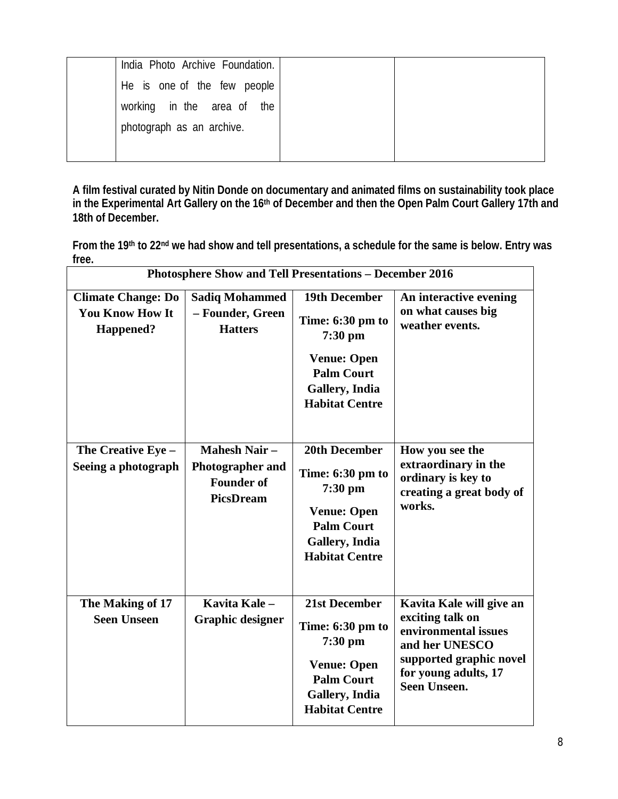| India Photo Archive Foundation. |  |
|---------------------------------|--|
| He is one of the few people     |  |
| working in the area of the      |  |
| photograph as an archive.       |  |
|                                 |  |

**A film festival curated by Nitin Donde on documentary and animated films on sustainability took place in the Experimental Art Gallery on the 16th of December and then the Open Palm Court Gallery 17th and 18th of December.** 

**From the 19th to 22nd we had show and tell presentations, a schedule for the same is below. Entry was free.** 

| Photosphere Show and Tell Presentations - December 2016                 |                                                                                         |                                                                                                                                             |                                                                                                                                                                  |  |
|-------------------------------------------------------------------------|-----------------------------------------------------------------------------------------|---------------------------------------------------------------------------------------------------------------------------------------------|------------------------------------------------------------------------------------------------------------------------------------------------------------------|--|
| <b>Climate Change: Do</b><br><b>You Know How It</b><br><b>Happened?</b> | <b>Sadiq Mohammed</b><br>- Founder, Green<br><b>Hatters</b>                             | <b>19th December</b><br>Time: 6:30 pm to<br>$7:30$ pm<br><b>Venue: Open</b><br><b>Palm Court</b><br>Gallery, India<br><b>Habitat Centre</b> | An interactive evening<br>on what causes big<br>weather events.                                                                                                  |  |
| The Creative Eye -<br>Seeing a photograph                               | <b>Mahesh Nair-</b><br><b>Photographer and</b><br><b>Founder of</b><br><b>PicsDream</b> | 20th December<br>Time: 6:30 pm to<br>$7:30$ pm<br><b>Venue: Open</b><br><b>Palm Court</b><br>Gallery, India<br><b>Habitat Centre</b>        | How you see the<br>extraordinary in the<br>ordinary is key to<br>creating a great body of<br>works.                                                              |  |
| The Making of 17<br><b>Seen Unseen</b>                                  | Kavita Kale-<br><b>Graphic designer</b>                                                 | 21st December<br>Time: 6:30 pm to<br>$7:30$ pm<br><b>Venue: Open</b><br><b>Palm Court</b><br>Gallery, India<br><b>Habitat Centre</b>        | Kavita Kale will give an<br>exciting talk on<br>environmental issues<br>and her UNESCO<br>supported graphic novel<br>for young adults, 17<br><b>Seen Unseen.</b> |  |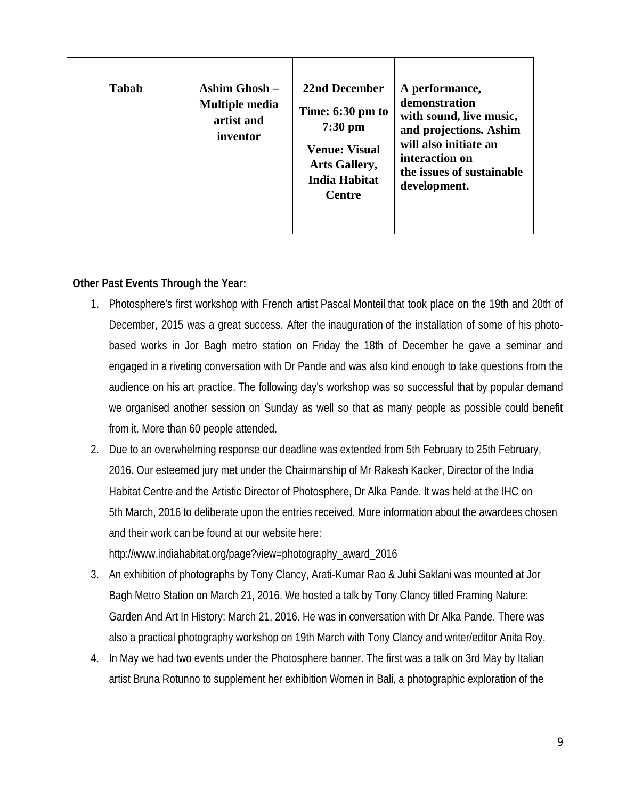| <b>Tabab</b> | Ashim Ghosh $-$<br><b>Multiple media</b><br>artist and<br>inventor | 22nd December<br>Time: 6:30 pm to<br>$7:30$ pm<br><b>Venue: Visual</b><br><b>Arts Gallery,</b> | A performance,<br>demonstration<br>with sound, live music,<br>and projections. Ashim<br>will also initiate an<br>interaction on<br>the issues of sustainable |
|--------------|--------------------------------------------------------------------|------------------------------------------------------------------------------------------------|--------------------------------------------------------------------------------------------------------------------------------------------------------------|
|              |                                                                    | <b>India Habitat</b><br><b>Centre</b>                                                          | development.                                                                                                                                                 |

## **Other Past Events Through the Year:**

- 1. Photosphere's first workshop with French artist Pascal Monteil that took place on the 19th and 20th of December, 2015 was a great success. After the inauguration of the installation of some of his photobased works in Jor Bagh metro station on Friday the 18th of December he gave a seminar and engaged in a riveting conversation with Dr Pande and was also kind enough to take questions from the audience on his art practice. The following day's workshop was so successful that by popular demand we organised another session on Sunday as well so that as many people as possible could benefit from it. More than 60 people attended.
- 2. Due to an overwhelming response our deadline was extended from 5th February to 25th February, 2016. Our esteemed jury met under the Chairmanship of Mr Rakesh Kacker, Director of the India Habitat Centre and the Artistic Director of Photosphere, Dr Alka Pande. It was held at the IHC on 5th March, 2016 to deliberate upon the entries received. More information about the awardees chosen and their work can be found at our website here:

http://www.indiahabitat.org/page?view=photography\_award\_2016

- 3. An exhibition of photographs by Tony Clancy, Arati-Kumar Rao & Juhi Saklani was mounted at Jor Bagh Metro Station on March 21, 2016. We hosted a talk by Tony Clancy titled Framing Nature: Garden And Art In History: March 21, 2016. He was in conversation with Dr Alka Pande. There was also a practical photography workshop on 19th March with Tony Clancy and writer/editor Anita Roy.
- 4. In May we had two events under the Photosphere banner. The first was a talk on 3rd May by Italian artist Bruna Rotunno to supplement her exhibition Women in Bali, a photographic exploration of the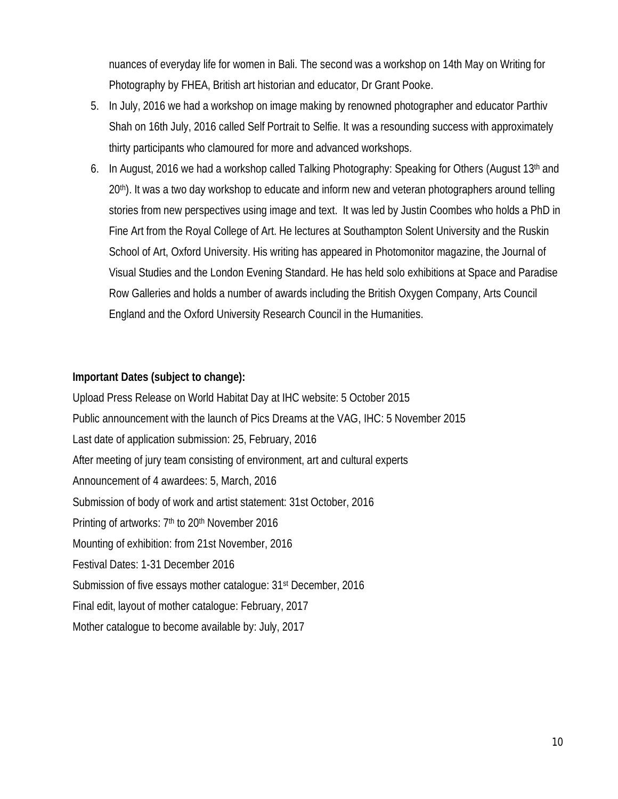nuances of everyday life for women in Bali. The second was a workshop on 14th May on Writing for Photography by FHEA, British art historian and educator, Dr Grant Pooke.

- 5. In July, 2016 we had a workshop on image making by renowned photographer and educator Parthiv Shah on 16th July, 2016 called Self Portrait to Selfie. It was a resounding success with approximately thirty participants who clamoured for more and advanced workshops.
- 6. In August, 2016 we had a workshop called Talking Photography: Speaking for Others (August 13<sup>th</sup> and 20th). It was a two day workshop to educate and inform new and veteran photographers around telling stories from new perspectives using image and text. It was led by Justin Coombes who holds a PhD in Fine Art from the Royal College of Art. He lectures at Southampton Solent University and the Ruskin School of Art, Oxford University. His writing has appeared in Photomonitor magazine, the Journal of Visual Studies and the London Evening Standard. He has held solo exhibitions at Space and Paradise Row Galleries and holds a number of awards including the British Oxygen Company, Arts Council England and the Oxford University Research Council in the Humanities.

#### **Important Dates (subject to change):**

Upload Press Release on World Habitat Day at IHC website: 5 October 2015 Public announcement with the launch of Pics Dreams at the VAG, IHC: 5 November 2015 Last date of application submission: 25, February, 2016 After meeting of jury team consisting of environment, art and cultural experts Announcement of 4 awardees: 5, March, 2016 Submission of body of work and artist statement: 31st October, 2016 Printing of artworks: 7<sup>th</sup> to 20<sup>th</sup> November 2016 Mounting of exhibition: from 21st November, 2016 Festival Dates: 1-31 December 2016 Submission of five essays mother catalogue: 31<sup>st</sup> December, 2016 Final edit, layout of mother catalogue: February, 2017 Mother catalogue to become available by: July, 2017